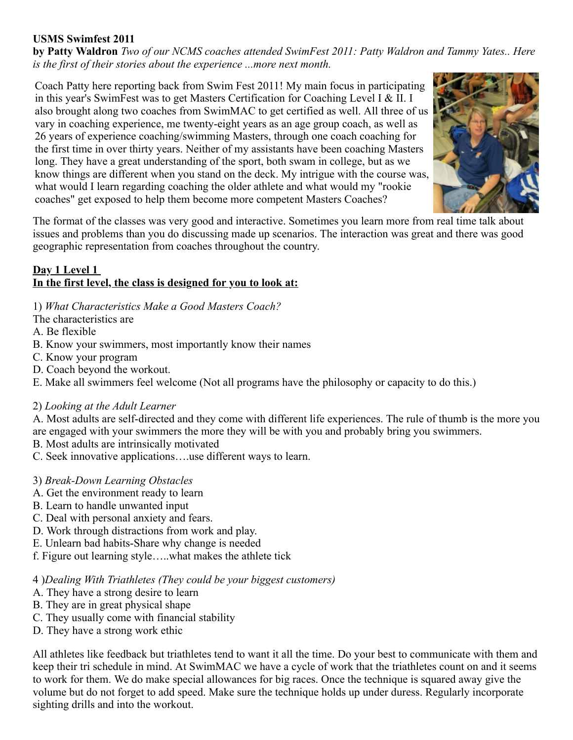## **USMS Swimfest 2011**

**by Patty Waldron** *Two of our NCMS coaches attended SwimFest 2011: Patty Waldron and Tammy Yates.. Here is the first of their stories about the experience ...more next month.*

Coach Patty here reporting back from Swim Fest 2011! My main focus in participating in this year's SwimFest was to get Masters Certification for Coaching Level I & II. I also brought along two coaches from SwimMAC to get certified as well. All three of us vary in coaching experience, me twenty-eight years as an age group coach, as well as 26 years of experience coaching/swimming Masters, through one coach coaching for the first time in over thirty years. Neither of my assistants have been coaching Masters long. They have a great understanding of the sport, both swam in college, but as we know things are different when you stand on the deck. My intrigue with the course was, what would I learn regarding coaching the older athlete and what would my "rookie" coaches" get exposed to help them become more competent Masters Coaches?



The format of the classes was very good and interactive. Sometimes you learn more from real time talk about issues and problems than you do discussing made up scenarios. The interaction was great and there was good geographic representation from coaches throughout the country.

### Day 1 Level 1 **In the first level, the class is designed for you to look at:**

1) *What Characteristics Make a Good Masters Coach?*

The characteristics are

A. Be flexible

- B. Know your swimmers, most importantly know their names
- C. Know your program
- D. Coach beyond the workout.
- E. Make all swimmers feel welcome (Not all programs have the philosophy or capacity to do this.)

#### 2) *Looking at the Adult Learner*

A. Most adults are self-directed and they come with different life experiences. The rule of thumb is the more you are engaged with your swimmers the more they will be with you and probably bring you swimmers.

B. Most adults are intrinsically motivated

C. Seek innovative applications….use different ways to learn.

#### 3) *Break-Down Learning Obstacles*

- A. Get the environment ready to learn
- B. Learn to handle unwanted input
- C. Deal with personal anxiety and fears.
- D. Work through distractions from work and play.
- E. Unlearn bad habits-Share why change is needed
- f. Figure out learning style…..what makes the athlete tick

4 )*Dealing With Triathletes (They could be your biggest customers)*

- A. They have a strong desire to learn
- B. They are in great physical shape
- C. They usually come with financial stability
- D. They have a strong work ethic

All athletes like feedback but triathletes tend to want it all the time. Do your best to communicate with them and keep their tri schedule in mind. At SwimMAC we have a cycle of work that the triathletes count on and it seems to work for them. We do make special allowances for big races. Once the technique is squared away give the volume but do not forget to add speed. Make sure the technique holds up under duress. Regularly incorporate sighting drills and into the workout.